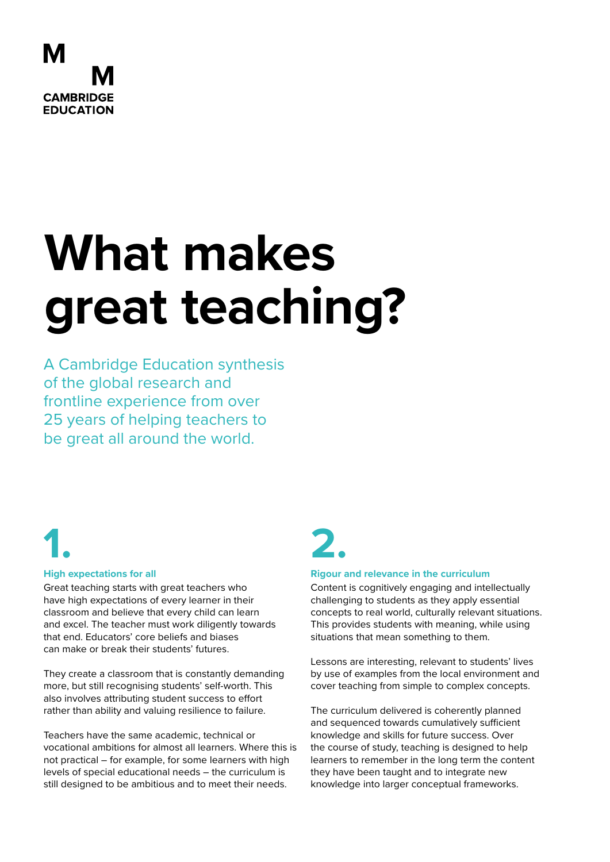

# **What makes great teaching?**

A Cambridge Education synthesis of the global research and frontline experience from over 25 years of helping teachers to be great all around the world.

# **1.**

#### **High expectations for all**

Great teaching starts with great teachers who have high expectations of every learner in their classroom and believe that every child can learn and excel. The teacher must work diligently towards that end. Educators' core beliefs and biases can make or break their students' futures.

They create a classroom that is constantly demanding more, but still recognising students' self-worth. This also involves attributing student success to effort rather than ability and valuing resilience to failure.

Teachers have the same academic, technical or vocational ambitions for almost all learners. Where this is not practical – for example, for some learners with high levels of special educational needs – the curriculum is still designed to be ambitious and to meet their needs.

# **2.**

#### **Rigour and relevance in the curriculum**

Content is cognitively engaging and intellectually challenging to students as they apply essential concepts to real world, culturally relevant situations. This provides students with meaning, while using situations that mean something to them.

Lessons are interesting, relevant to students' lives by use of examples from the local environment and cover teaching from simple to complex concepts.

The curriculum delivered is coherently planned and sequenced towards cumulatively sufficient knowledge and skills for future success. Over the course of study, teaching is designed to help learners to remember in the long term the content they have been taught and to integrate new knowledge into larger conceptual frameworks.